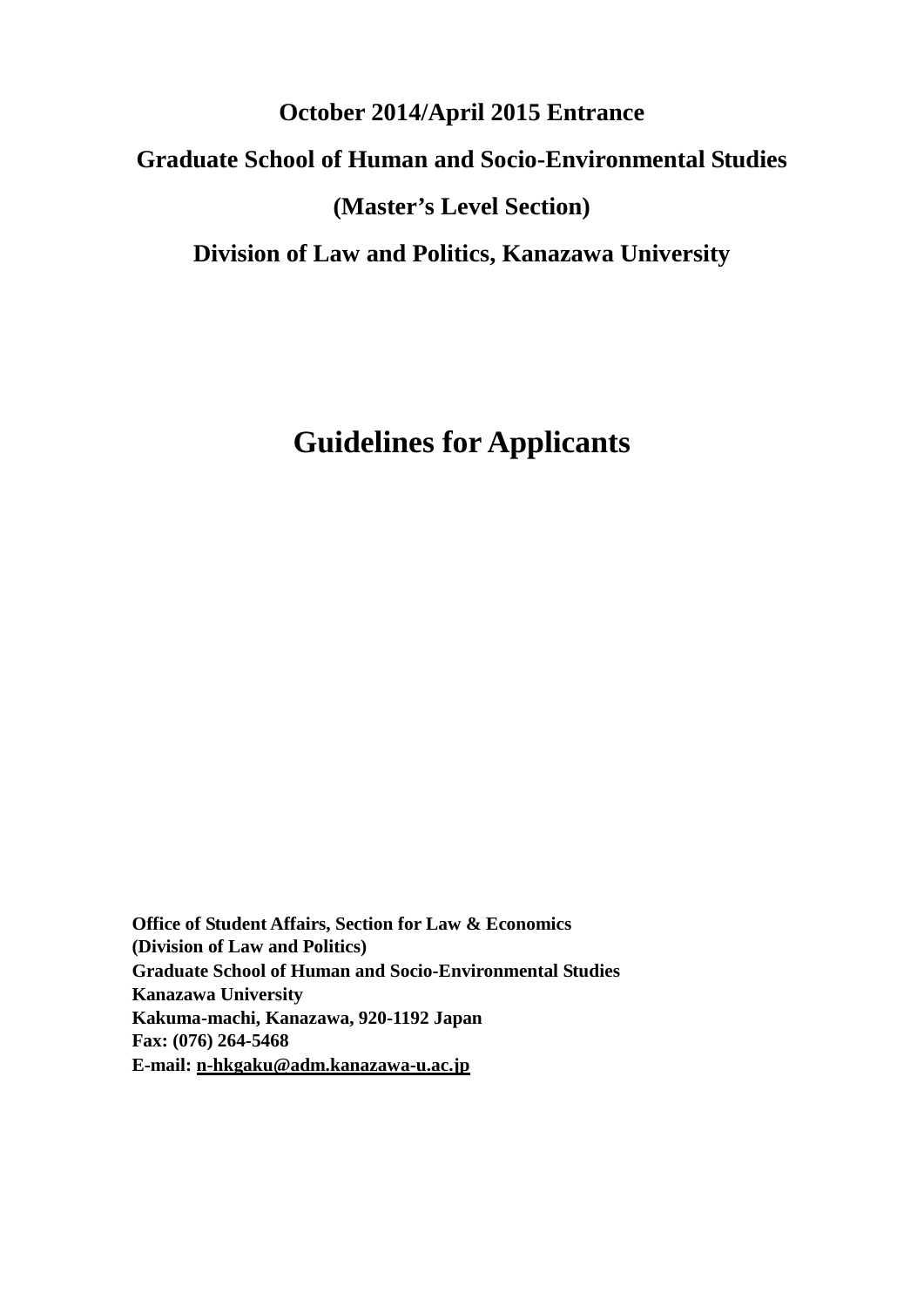# **October 2014/April 2015 Entrance Graduate School of Human and Socio-Environmental Studies (Master's Level Section) Division of Law and Politics, Kanazawa University**

# **Guidelines for Applicants**

<span id="page-0-0"></span>**Office of Student Affairs, Section for Law & Economics (Division of Law and Politics) Graduate School of Human and Socio-Environmental Studies Kanazawa University Kakuma-machi, Kanazawa, 920-1192 Japan Fax: (076) 264-5468 E-mail: [n-hkgaku@adm.kanazawa-u.ac.jp](mailto:n-hkgaku@adm.kanazawa-u.ac.jp)**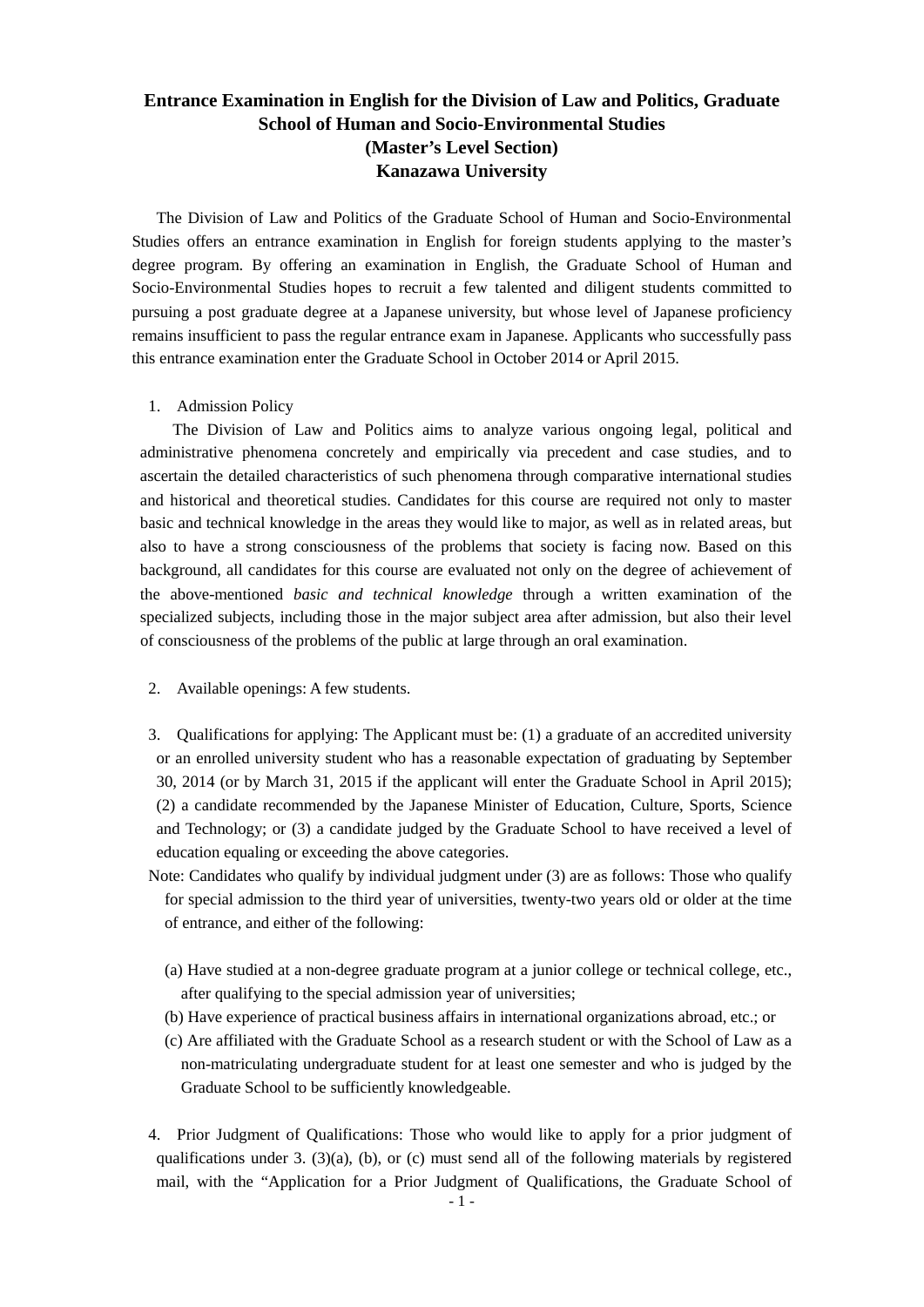### **Entrance Examination in English for the Division of Law and Politics, Graduate School of Human and Socio-Environmental Studies (Master's Level Section) Kanazawa University**

The Division of Law and Politics of the Graduate School of Human and Socio-Environmental Studies offers an entrance examination in English for foreign students applying to the master's degree program. By offering an examination in English, the Graduate School of Human and Socio-Environmental Studies hopes to recruit a few talented and diligent students committed to pursuing a post graduate degree at a Japanese university, but whose level of Japanese proficiency remains insufficient to pass the regular entrance exam in Japanese. Applicants who successfully pass this entrance examination enter the Graduate School in October 2014 or April 2015.

1. Admission Policy

The Division of Law and Politics aims to analyze various ongoing legal, political and administrative phenomena concretely and empirically via precedent and case studies, and to ascertain the detailed characteristics of such phenomena through comparative international studies and historical and theoretical studies. Candidates for this course are required not only to master basic and technical knowledge in the areas they would like to major, as well as in related areas, but also to have a strong consciousness of the problems that society is facing now. Based on this background, all candidates for this course are evaluated not only on the degree of achievement of the above-mentioned *basic and technical knowledge* through a written examination of the specialized subjects, including those in the major subject area after admission*,* but also their level of consciousness of the problems of the public at large through an oral examination.

- 2. Available openings: A few students.
- 3. Qualifications for applying: The Applicant must be: (1) a graduate of an accredited university or an enrolled university student who has a reasonable expectation of graduating by September 30, 2014 (or by March 31, 2015 if the applicant will enter the Graduate School in April 2015); (2) a candidate recommended by the Japanese Minister of Education, Culture, Sports, Science and Technology; or (3) a candidate judged by the Graduate School to have received a level of education equaling or exceeding the above categories.
- Note: Candidates who qualify by individual judgment under (3) are as follows: Those who qualify for special admission to the third year of universities, twenty-two years old or older at the time of entrance, and either of the following:
	- (a) Have studied at a non-degree graduate program at a junior college or technical college, etc., after qualifying to the special admission year of universities;
	- (b) Have experience of practical business affairs in international organizations abroad, etc.; or
	- (c) Are affiliated with the Graduate School as a research student or with the School of Law as a non-matriculating undergraduate student for at least one semester and who is judged by the Graduate School to be sufficiently knowledgeable.
- 4. Prior Judgment of Qualifications: Those who would like to apply for a prior judgment of qualifications under 3. (3)(a), (b), or (c) must send all of the following materials by registered mail, with the "Application for a Prior Judgment of Qualifications, the Graduate School of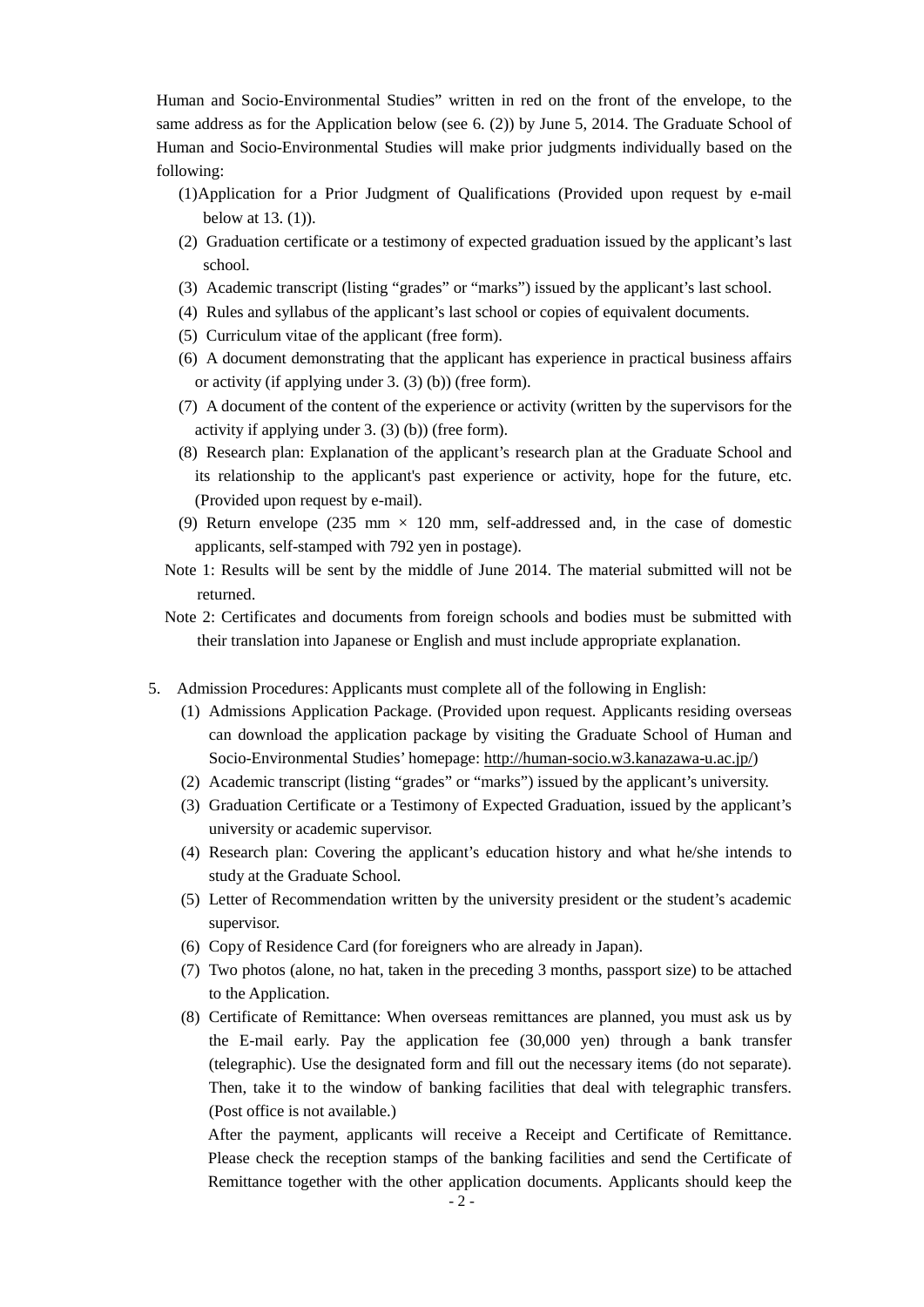Human and Socio-Environmental Studies" written in red on the front of the envelope, to the same address as for the Application below (see 6. (2)) by June 5, 2014. The Graduate School of Human and Socio-Environmental Studies will make prior judgments individually based on the following:

- (1)Application for a Prior Judgment of Qualifications (Provided upon request by e-mail below at 13. (1)).
- (2) Graduation certificate or a testimony of expected graduation issued by the applicant's last school.
- (3) Academic transcript (listing "grades" or "marks") issued by the applicant's last school.
- (4) Rules and syllabus of the applicant's last school or copies of equivalent documents.
- (5) Curriculum vitae of the applicant (free form).
- (6) A document demonstrating that the applicant has experience in practical business affairs or activity (if applying under 3. (3) (b)) (free form).
- (7) A document of the content of the experience or activity (written by the supervisors for the activity if applying under 3. (3) (b)) (free form).
- (8) Research plan: Explanation of the applicant's research plan at the Graduate School and its relationship to the applicant's past experience or activity, hope for the future, etc. (Provided upon request by e-mail).
- (9) Return envelope (235 mm  $\times$  120 mm, self-addressed and, in the case of domestic applicants, self-stamped with 792 yen in postage).
- Note 1: Results will be sent by the middle of June 2014. The material submitted will not be returned.
- Note 2: Certificates and documents from foreign schools and bodies must be submitted with their translation into Japanese or English and must include appropriate explanation.
- 5. Admission Procedures: Applicants must complete all of the following in English:
	- (1) Admissions Application Package. (Provided upon request. Applicants residing overseas can download the application package by visiting the Graduate School of Human and Socio-Environmental Studies' homepage: [http://human-socio.w3.kanazawa-u.ac.jp/\)](http://human-socio.w3.kanazawa-u.ac.jp/)
	- (2) Academic transcript (listing "grades" or "marks") issued by the applicant's university.
	- (3) Graduation Certificate or a Testimony of Expected Graduation, issued by the applicant's university or academic supervisor.
	- (4) Research plan: Covering the applicant's education history and what he/she intends to study at the Graduate School.
	- (5) Letter of Recommendation written by the university president or the student's academic supervisor.
	- (6) Copy of Residence Card (for foreigners who are already in Japan).
	- (7) Two photos (alone, no hat, taken in the preceding 3 months, passport size) to be attached to the Application.
	- (8) Certificate of Remittance: When overseas remittances are planned, you must ask us by the E-mail early. Pay the application fee (30,000 yen) through a bank transfer (telegraphic). Use the designated form and fill out the necessary items (do not separate). Then, take it to the window of banking facilities that deal with telegraphic transfers. (Post office is not available.)

After the payment, applicants will receive a Receipt and Certificate of Remittance. Please check the reception stamps of the banking facilities and send the Certificate of Remittance together with the other application documents. Applicants should keep the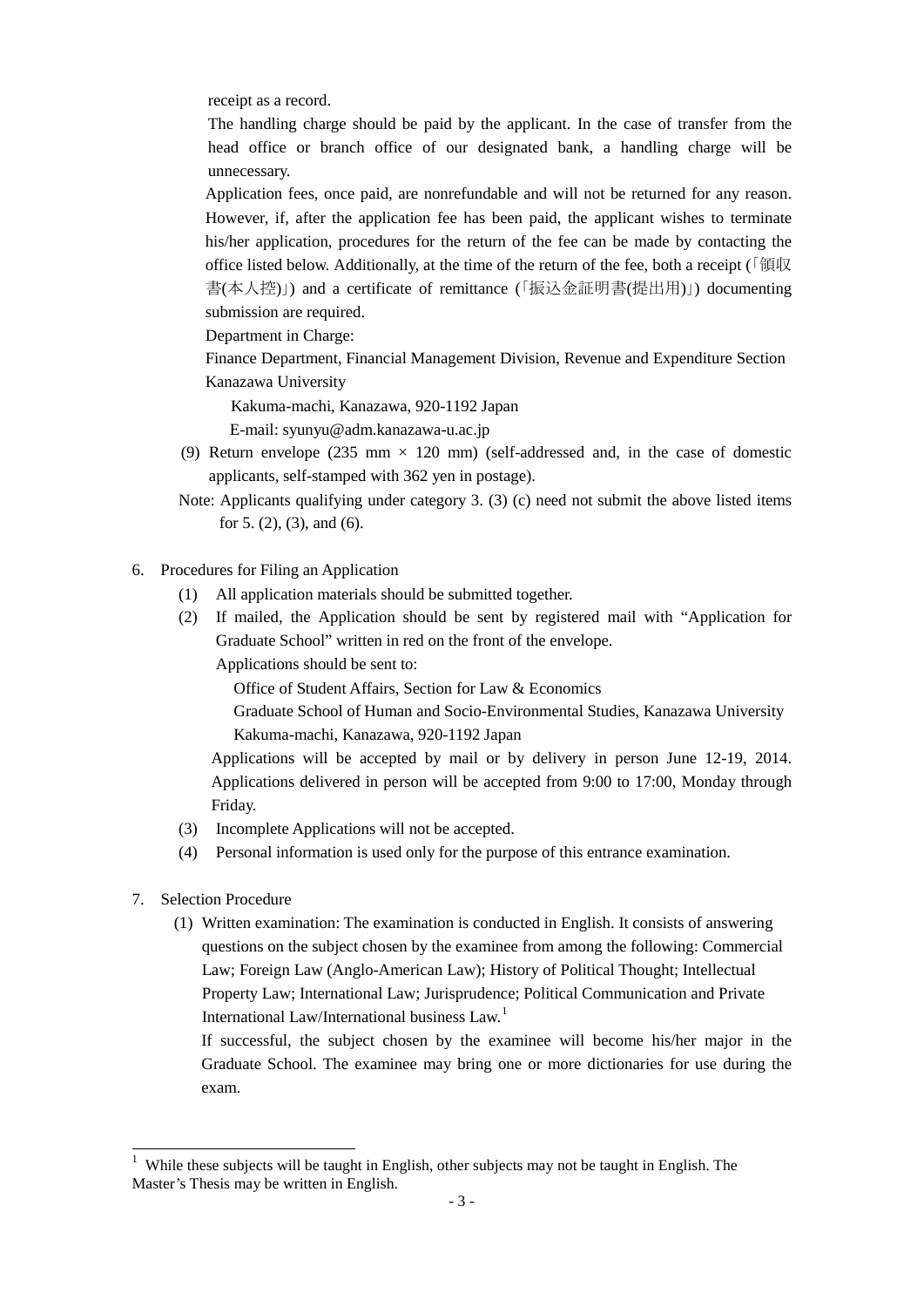receipt as a record.

The handling charge should be paid by the applicant. In the case of transfer from the head office or branch office of our designated bank, a handling charge will be unnecessary.

Application fees, once paid, are nonrefundable and will not be returned for any reason. However, if, after the application fee has been paid, the applicant wishes to terminate his/her application, procedures for the return of the fee can be made by contacting the office listed below. Additionally, at the time of the return of the fee, both a receipt ( $\sqrt{\frac{2\pi}{N}}$ 書(本人控)」) and a certificate of remittance (「振込金証明書(提出用)」) documenting submission are required.

Department in Charge:

Finance Department, Financial Management Division, Revenue and Expenditure Section Kanazawa University

Kakuma-machi, Kanazawa, 920-1192 Japan

E-mail: syunyu@adm.kanazawa-u.ac.jp

- (9) Return envelope (235 mm  $\times$  120 mm) (self-addressed and, in the case of domestic applicants, self-stamped with 362 yen in postage).
- Note: Applicants qualifying under category 3. (3) (c) need not submit the above listed items for 5. (2), (3), and (6).
- 6. Procedures for Filing an Application
	- (1) All application materials should be submitted together.
	- (2) If mailed, the Application should be sent by registered mail with "Application for Graduate School" written in red on the front of the envelope.

Applications should be sent to:

Office of Student Affairs, Section for Law & Economics

Graduate School of Human and Socio-Environmental Studies, Kanazawa University Kakuma-machi, Kanazawa, 920-1192 Japan

Applications will be accepted by mail or by delivery in person June 12-19, 2014. Applications delivered in person will be accepted from 9:00 to 17:00, Monday through Friday.

- (3) Incomplete Applications will not be accepted.
- (4) Personal information is used only for the purpose of this entrance examination.
- 7. Selection Procedure
	- (1) Written examination: The examination is conducted in English. It consists of answering questions on the subject chosen by the examinee from among the following: Commercial Law; Foreign Law (Anglo-American Law); History of Political Thought; Intellectual Property Law; International Law; Jurisprudence; Political Communication and Private International Law/International business Law.[1](#page-0-0)

If successful, the subject chosen by the examinee will become his/her major in the Graduate School. The examinee may bring one or more dictionaries for use during the exam.

<sup>&</sup>lt;sup>1</sup> While these subjects will be taught in English, other subjects may not be taught in English. The Master's Thesis may be written in English.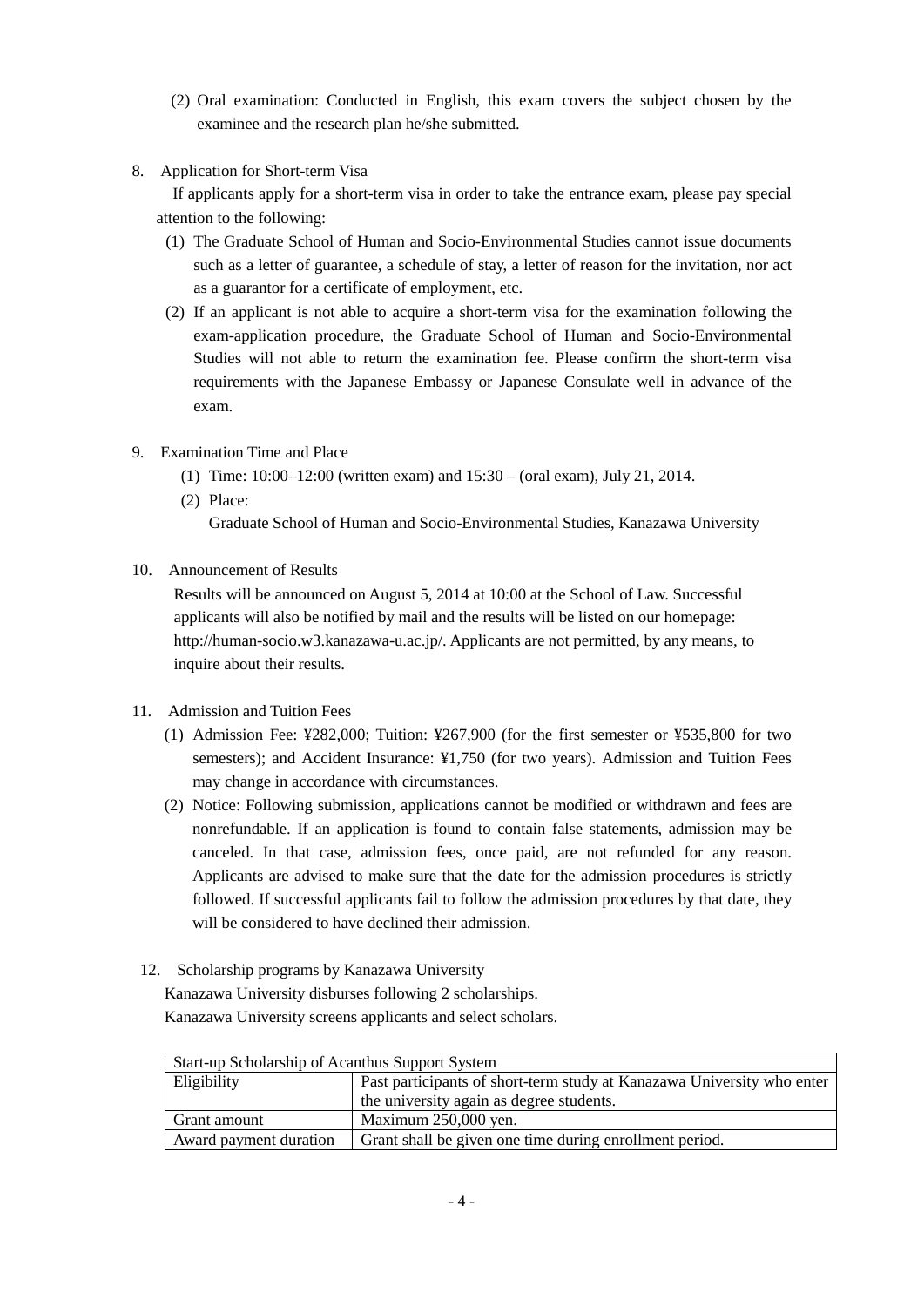- (2) Oral examination: Conducted in English, this exam covers the subject chosen by the examinee and the research plan he/she submitted.
- 8. Application for Short-term Visa

If applicants apply for a short-term visa in order to take the entrance exam, please pay special attention to the following:

- (1) The Graduate School of Human and Socio-Environmental Studies cannot issue documents such as a letter of guarantee, a schedule of stay, a letter of reason for the invitation, nor act as a guarantor for a certificate of employment, etc.
- (2) If an applicant is not able to acquire a short-term visa for the examination following the exam-application procedure, the Graduate School of Human and Socio-Environmental Studies will not able to return the examination fee. Please confirm the short-term visa requirements with the Japanese Embassy or Japanese Consulate well in advance of the exam.
- 9. Examination Time and Place
	- (1) Time: 10:00–12:00 (written exam) and 15:30 (oral exam), July 21, 2014.
	- (2) Place:

Graduate School of Human and Socio-Environmental Studies, Kanazawa University

10. Announcement of Results

Results will be announced on August 5, 2014 at 10:00 at the School of Law. Successful applicants will also be notified by mail and the results will be listed on our homepage: http://human-socio.w3.kanazawa-u.ac.jp/. Applicants are not permitted, by any means, to inquire about their results.

- 11. Admission and Tuition Fees
	- (1) Admission Fee: ¥282,000; Tuition: ¥267,900 (for the first semester or ¥535,800 for two semesters); and Accident Insurance: ¥1,750 (for two years). Admission and Tuition Fees may change in accordance with circumstances.
	- (2) Notice: Following submission, applications cannot be modified or withdrawn and fees are nonrefundable. If an application is found to contain false statements, admission may be canceled. In that case, admission fees, once paid, are not refunded for any reason. Applicants are advised to make sure that the date for the admission procedures is strictly followed. If successful applicants fail to follow the admission procedures by that date, they will be considered to have declined their admission.
- 12. Scholarship programs by Kanazawa University

Kanazawa University disburses following 2 scholarships. Kanazawa University screens applicants and select scholars.

| Start-up Scholarship of Acanthus Support System |                                                                        |  |  |
|-------------------------------------------------|------------------------------------------------------------------------|--|--|
| <b>Eligibility</b>                              | Past participants of short-term study at Kanazawa University who enter |  |  |
|                                                 | the university again as degree students.                               |  |  |
| Grant amount                                    | Maximum 250,000 yen.                                                   |  |  |
| Award payment duration                          | Grant shall be given one time during enrollment period.                |  |  |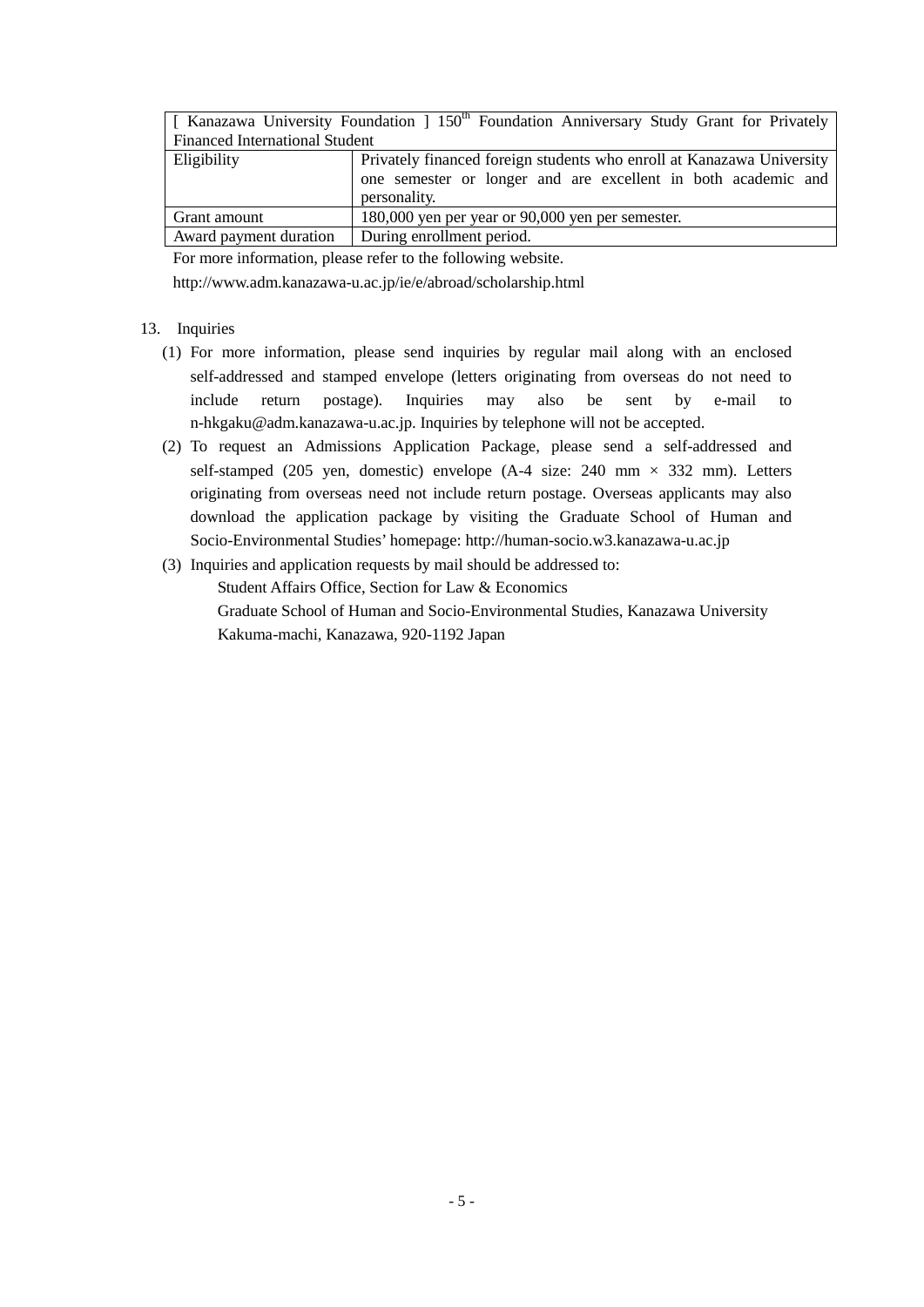|                                       | [ Kanazawa University Foundation ] 150 <sup>th</sup> Foundation Anniversary Study Grant for Privately                                                  |  |  |  |
|---------------------------------------|--------------------------------------------------------------------------------------------------------------------------------------------------------|--|--|--|
| <b>Financed International Student</b> |                                                                                                                                                        |  |  |  |
| Eligibility                           | Privately financed foreign students who enroll at Kanazawa University<br>one semester or longer and are excellent in both academic and<br>personality. |  |  |  |
| Grant amount                          | 180,000 yen per year or 90,000 yen per semester.                                                                                                       |  |  |  |
| Award payment duration                | During enrollment period.                                                                                                                              |  |  |  |

For more information, please refer to the following website.

http://www.adm.kanazawa-u.ac.jp/ie/e/abroad/scholarship.html

#### 13. Inquiries

- (1) For more information, please send inquiries by regular mail along with an enclosed self-addressed and stamped envelope (letters originating from overseas do not need to include return postage). Inquiries may also be sent by e-mail to n-hkgaku@adm.kanazawa-u.ac.jp. Inquiries by telephone will not be accepted.
- (2) To request an Admissions Application Package, please send a self-addressed and self-stamped (205 yen, domestic) envelope  $(A-4 \text{ size}: 240 \text{ mm} \times 332 \text{ mm})$ . Letters originating from overseas need not include return postage. Overseas applicants may also download the application package by visiting the Graduate School of Human and Socio-Environmental Studies' homepage: http://human-socio.w3.kanazawa-u.ac.jp
- (3) Inquiries and application requests by mail should be addressed to: Student Affairs Office, Section for Law & Economics Graduate School of Human and Socio-Environmental Studies, Kanazawa University Kakuma-machi, Kanazawa, 920-1192 Japan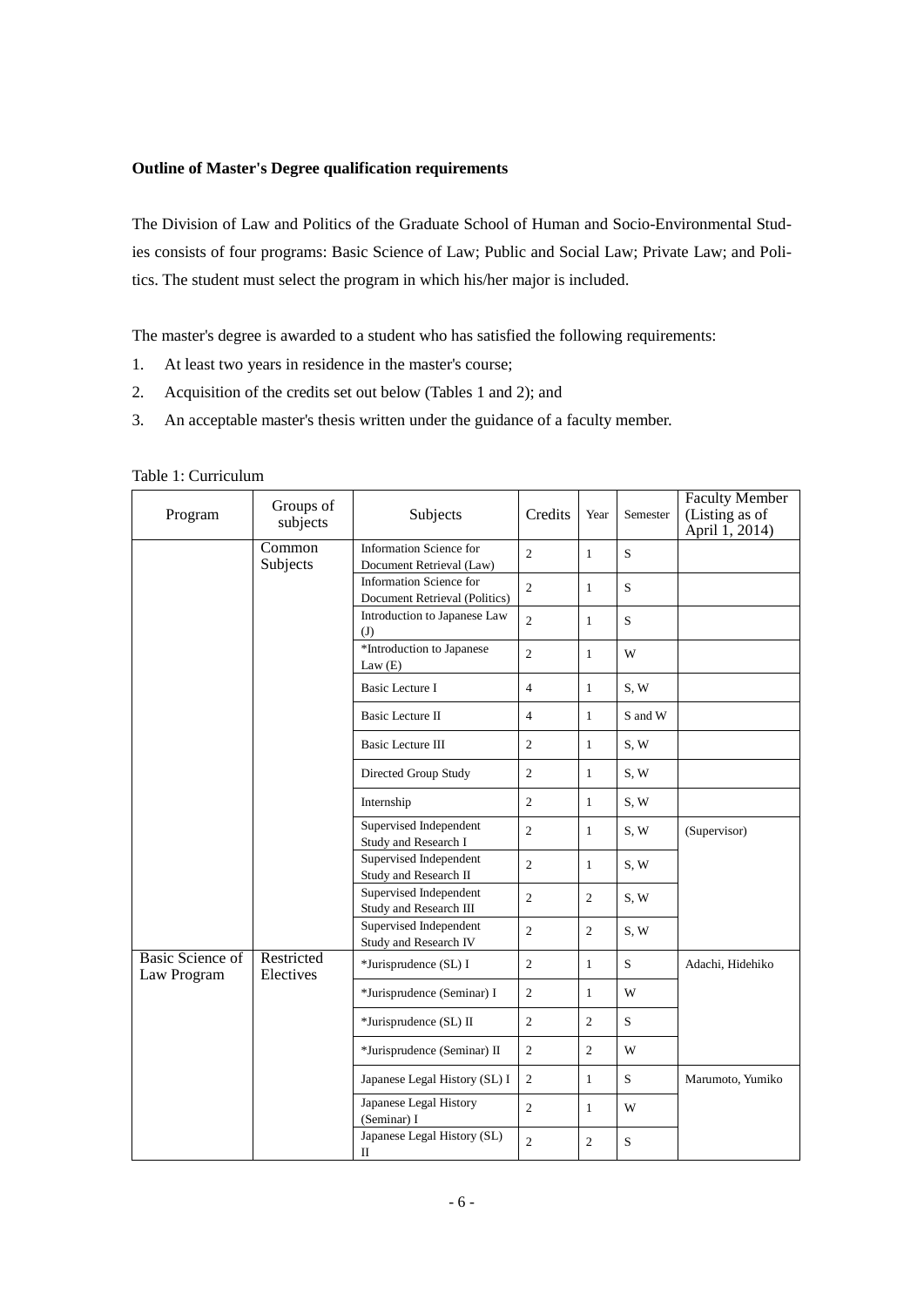#### **Outline of Master's Degree qualification requirements**

The Division of Law and Politics of the Graduate School of Human and Socio-Environmental Studies consists of four programs: Basic Science of Law; Public and Social Law; Private Law; and Politics. The student must select the program in which his/her major is included.

The master's degree is awarded to a student who has satisfied the following requirements:

- 1. At least two years in residence in the master's course;
- 2. Acquisition of the credits set out below (Tables 1 and 2); and
- 3. An acceptable master's thesis written under the guidance of a faculty member.

| Program                                | Groups of<br>subjects   | Subjects                                                              | Credits        | Year           | Semester    | <b>Faculty Member</b><br>(Listing as of<br>April 1, 2014) |
|----------------------------------------|-------------------------|-----------------------------------------------------------------------|----------------|----------------|-------------|-----------------------------------------------------------|
|                                        | Common<br>Subjects      | Information Science for<br>$\overline{2}$<br>Document Retrieval (Law) |                | $\mathbf{1}$   | S           |                                                           |
|                                        |                         | Information Science for<br>Document Retrieval (Politics)              | $\mathfrak{2}$ | $\mathbf{1}$   | S           |                                                           |
|                                        |                         | Introduction to Japanese Law<br>(J)                                   | $\overline{2}$ | $\mathbf{1}$   | S           |                                                           |
|                                        |                         | *Introduction to Japanese<br>Law(E)                                   | $\overline{c}$ | 1              | W           |                                                           |
|                                        |                         | <b>Basic Lecture I</b>                                                | $\overline{4}$ | $\mathbf{1}$   | S, W        |                                                           |
|                                        |                         | Basic Lecture II                                                      | $\overline{4}$ | $\mathbf{1}$   | S and W     |                                                           |
|                                        |                         | Basic Lecture III                                                     | $\mathfrak{2}$ | 1              | S, W        |                                                           |
|                                        |                         | Directed Group Study                                                  | $\overline{c}$ | $\mathbf{1}$   | S, W        |                                                           |
|                                        |                         | Internship                                                            | $\overline{c}$ | $\mathbf{1}$   | S, W        |                                                           |
|                                        |                         | Supervised Independent<br>Study and Research I                        | $\overline{c}$ | $\mathbf{1}$   | S, W        | (Supervisor)                                              |
|                                        |                         | Supervised Independent<br>Study and Research II                       | $\overline{c}$ | $\mathbf{1}$   | S, W        |                                                           |
|                                        |                         | Supervised Independent<br>Study and Research III                      | $\overline{c}$ | $\overline{2}$ | S, W        |                                                           |
|                                        |                         | Supervised Independent<br>Study and Research IV                       | $\mathfrak{2}$ | $\overline{2}$ | S, W        |                                                           |
| <b>Basic Science of</b><br>Law Program | Restricted<br>Electives | *Jurisprudence (SL) I                                                 | $\mathfrak{2}$ | $\mathbf{1}$   | S           | Adachi, Hidehiko                                          |
|                                        |                         | *Jurisprudence (Seminar) I                                            | $\overline{c}$ | $\mathbf{1}$   | W           |                                                           |
|                                        |                         | *Jurisprudence (SL) II                                                | $\overline{2}$ | $\overline{2}$ | S.          |                                                           |
|                                        |                         | *Jurisprudence (Seminar) II                                           | $\overline{2}$ | $\overline{2}$ | W           |                                                           |
|                                        |                         | Japanese Legal History (SL) I                                         | $\mathfrak{2}$ | $\mathbf{1}$   | S           | Marumoto, Yumiko                                          |
|                                        |                         | Japanese Legal History<br>(Seminar) I                                 | $\overline{c}$ | $\mathbf{1}$   | W           |                                                           |
|                                        |                         | Japanese Legal History (SL)<br>П                                      | $\overline{c}$ | $\overline{2}$ | $\mathbf S$ |                                                           |

#### Table 1: Curriculum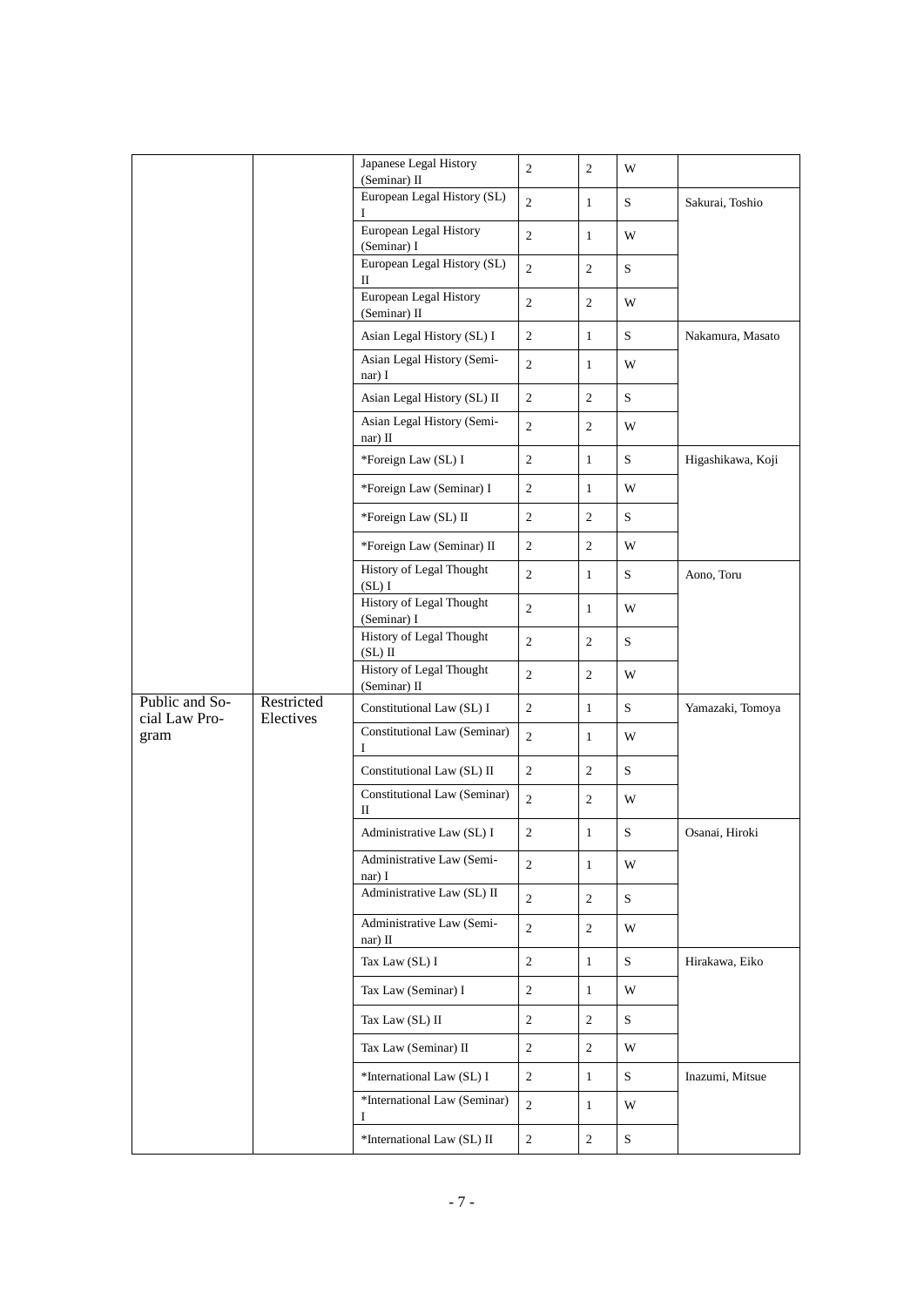|                                 |                                   | Japanese Legal History<br>(Seminar) II   | $\overline{2}$   | $\overline{2}$ | W                 |                   |
|---------------------------------|-----------------------------------|------------------------------------------|------------------|----------------|-------------------|-------------------|
|                                 |                                   | European Legal History (SL)              | 2                | $\mathbf{1}$   | S                 | Sakurai, Toshio   |
|                                 |                                   | European Legal History<br>(Seminar) I    | $\sqrt{2}$       | $\mathbf{1}$   | W                 |                   |
|                                 |                                   | European Legal History (SL)<br>П         | $\sqrt{2}$       | $\overline{2}$ | $S_{\mathcal{L}}$ |                   |
|                                 |                                   | European Legal History<br>(Seminar) II   | $\overline{2}$   | $\overline{2}$ | W                 |                   |
|                                 |                                   | Asian Legal History (SL) I               | $\mathbf{2}$     | $\mathbf{1}$   | S                 | Nakamura, Masato  |
|                                 |                                   | Asian Legal History (Semi-<br>nar) I     | 2                | $\mathbf{1}$   | W                 |                   |
|                                 |                                   | Asian Legal History (SL) II              | $\mathbf{2}$     | $\overline{2}$ | S                 |                   |
|                                 |                                   | Asian Legal History (Semi-<br>nar) II    | $\overline{c}$   | $\overline{2}$ | W                 |                   |
|                                 |                                   | *Foreign Law (SL) I                      | $\overline{c}$   | $\mathbf{1}$   | S                 | Higashikawa, Koji |
|                                 |                                   | *Foreign Law (Seminar) I                 | $\mathbf{2}$     | $\mathbf{1}$   | W                 |                   |
|                                 |                                   | *Foreign Law (SL) II                     | $\mathbf{2}$     | $\overline{c}$ | S                 |                   |
|                                 |                                   | *Foreign Law (Seminar) II                | $\overline{2}$   | 2              | W                 |                   |
|                                 |                                   | History of Legal Thought<br>(SL)I        | $\overline{c}$   | $\mathbf{1}$   | S                 | Aono, Toru        |
|                                 |                                   | History of Legal Thought<br>(Seminar) I  | $\sqrt{2}$       | $\mathbf{1}$   | W                 |                   |
|                                 |                                   | History of Legal Thought<br>$(SL)$ II    | $\mathbf{2}$     | $\overline{c}$ | S                 |                   |
|                                 |                                   | History of Legal Thought<br>(Seminar) II | $\overline{2}$   | $\overline{2}$ | W                 |                   |
| Public and So-<br>cial Law Pro- | Restricted<br>Electives           | Constitutional Law (SL) I                | $\mathbf{2}$     | $\mathbf{1}$   | S                 | Yamazaki, Tomoya  |
| gram                            |                                   | Constitutional Law (Seminar)<br>I        | $\overline{c}$   | $\mathbf{1}$   | W                 |                   |
|                                 |                                   | Constitutional Law (SL) II               | $\mathbf{2}$     | $\overline{c}$ | ${\bf S}$         |                   |
|                                 |                                   | Constitutional Law (Seminar)<br>П        | $\sqrt{2}$       | $\overline{2}$ | W                 |                   |
|                                 |                                   | Administrative Law (SL) I                | $\mathfrak{2}$   | $\mathbf{1}$   | $\mathbf S$       | Osanai, Hiroki    |
|                                 |                                   | Administrative Law (Semi-<br>nar) I      | 2                | $\mathbf{1}$   | W                 |                   |
|                                 |                                   | Administrative Law (SL) II               | $\mathfrak{2}$   | $\mathbf{2}$   | S                 |                   |
|                                 |                                   | Administrative Law (Semi-<br>nar) $II$   | $\mathbf{2}$     | $\mathbf{2}$   | W                 |                   |
|                                 |                                   | Tax Law (SL) I                           | $\boldsymbol{2}$ | $\mathbf{1}$   | S                 | Hirakawa, Eiko    |
|                                 |                                   | Tax Law (Seminar) I                      | $\sqrt{2}$       | $\mathbf{1}$   | W                 |                   |
|                                 |                                   | Tax Law (SL) II                          | $\boldsymbol{2}$ | 2              | S.                |                   |
|                                 |                                   | Tax Law (Seminar) II                     | $\sqrt{2}$       | 2              | W                 |                   |
|                                 |                                   | *International Law (SL) I                | $\overline{c}$   | $\mathbf{1}$   | S.                | Inazumi, Mitsue   |
|                                 | *International Law (Seminar)<br>Ι |                                          | $\mathfrak{2}$   | $\mathbf{1}$   | W                 |                   |
|                                 |                                   | *International Law (SL) II               | $\overline{c}$   | $\mathbf{2}$   | S                 |                   |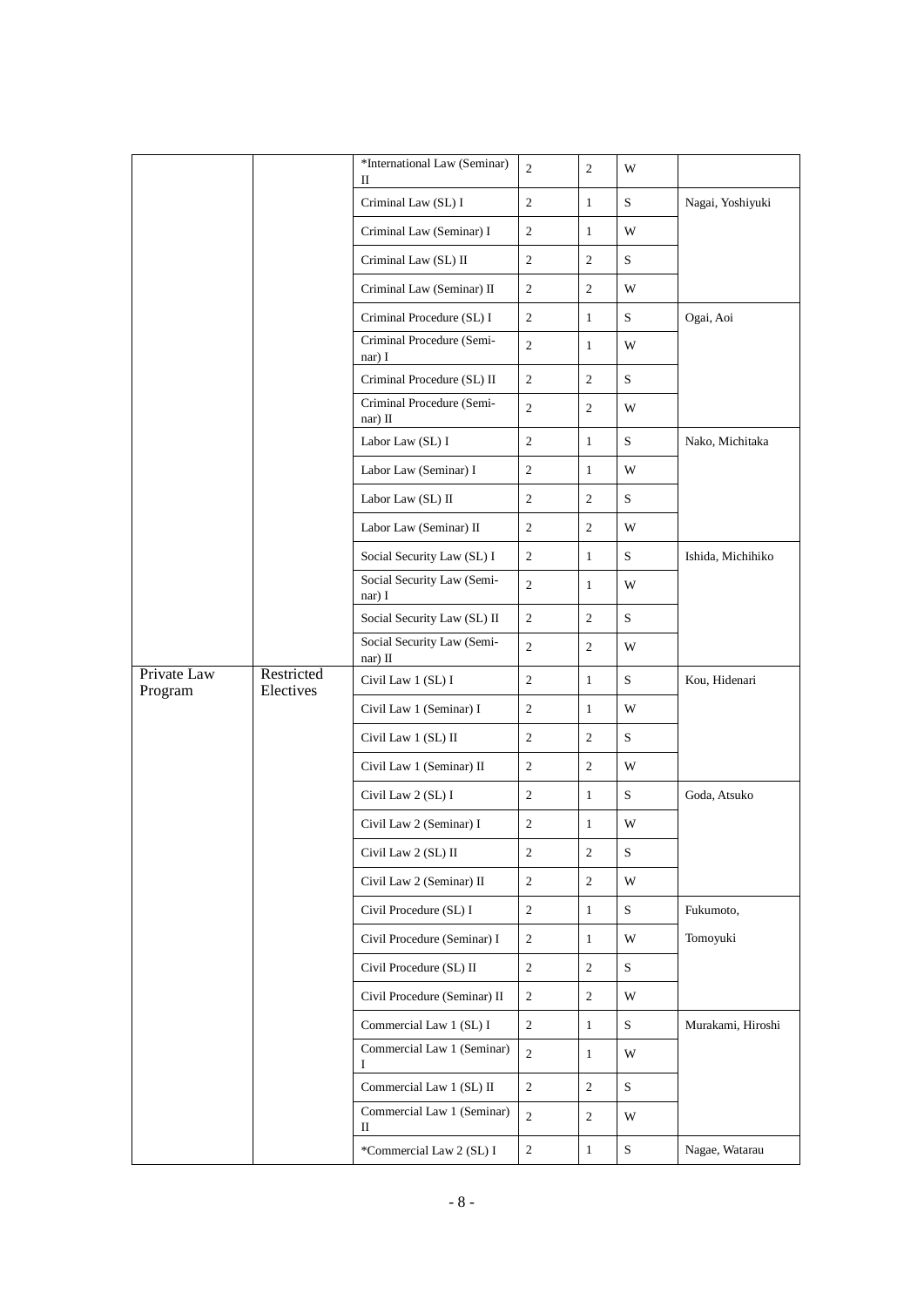|             |            | *International Law (Seminar)                           | $\mathbf{2}$   | $\overline{2}$   | W |                   |
|-------------|------------|--------------------------------------------------------|----------------|------------------|---|-------------------|
|             |            | $\mathbf{I}$<br>Criminal Law (SL) I                    | $\mathbf{2}$   | $\mathbf{1}$     | S | Nagai, Yoshiyuki  |
|             |            | Criminal Law (Seminar) I                               | $\mathfrak{2}$ | $\mathbf{1}$     | W |                   |
|             |            | Criminal Law (SL) II                                   | $\overline{c}$ | $\overline{2}$   | S |                   |
|             |            | Criminal Law (Seminar) II                              | 2              | 2                | W |                   |
|             |            |                                                        | 2              |                  |   |                   |
|             |            | Criminal Procedure (SL) I<br>Criminal Procedure (Semi- |                | $\mathbf{1}$     | S | Ogai, Aoi         |
|             |            | nar) I                                                 | $\sqrt{2}$     | $\mathbf{1}$     | W |                   |
|             |            | Criminal Procedure (SL) II                             | $\mathbf{2}$   | $\overline{c}$   | S |                   |
|             |            | Criminal Procedure (Semi-<br>nar) II                   | $\overline{c}$ | 2                | W |                   |
|             |            | Labor Law (SL) I                                       | $\sqrt{2}$     | $\mathbf{1}$     | S | Nako, Michitaka   |
|             |            | Labor Law (Seminar) I                                  | $\mathbf{2}$   | $\mathbf{1}$     | W |                   |
|             |            | Labor Law (SL) II                                      | 2              | 2                | S |                   |
|             |            | Labor Law (Seminar) II                                 | $\sqrt{2}$     | $\overline{c}$   | W |                   |
|             |            | Social Security Law (SL) I                             | 2              | $\mathbf{1}$     | S | Ishida, Michihiko |
|             |            | Social Security Law (Semi-<br>nar) I                   | $\mathbf{2}$   | $\mathbf{1}$     | W |                   |
|             |            | Social Security Law (SL) II                            | $\mathbf{2}$   | 2                | S |                   |
|             |            | Social Security Law (Semi-<br>nar) II                  | $\overline{2}$ | $\overline{2}$   | W |                   |
| Private Law | Restricted | Civil Law 1 (SL) I                                     | 2              | $\mathbf{1}$     | S | Kou, Hidenari     |
| Program     | Electives  | Civil Law 1 (Seminar) I                                | $\mathbf{2}$   | $\mathbf{1}$     | W |                   |
|             |            | Civil Law 1 (SL) II                                    | $\mathfrak{2}$ | 2                | S |                   |
|             |            | Civil Law 1 (Seminar) II                               | 2              | $\overline{c}$   | W |                   |
|             |            | Civil Law 2 (SL) I                                     | $\sqrt{2}$     | $\mathbf{1}$     | S | Goda, Atsuko      |
|             |            |                                                        |                |                  |   |                   |
|             |            | Civil Law 2 (Seminar) I                                | $\mathbf{2}$   | $\mathbf{1}$     | W |                   |
|             |            | Civil Law 2 (SL) II                                    | $\sqrt{2}$     | $\boldsymbol{2}$ | S |                   |
|             |            | Civil Law 2 (Seminar) II                               | $\sqrt{2}$     | $\overline{2}$   | W |                   |
|             |            | Civil Procedure (SL) I                                 | $\overline{2}$ | $\mathbf{1}$     | S | Fukumoto,         |
|             |            | Civil Procedure (Seminar) I                            | $\sqrt{2}$     | $\mathbf{1}$     | W | Tomoyuki          |
|             |            | Civil Procedure (SL) II                                | $\overline{c}$ | $\overline{c}$   | S |                   |
|             |            | Civil Procedure (Seminar) II                           | $\overline{c}$ | $\overline{2}$   | W |                   |
|             |            | Commercial Law 1 (SL) I                                | $\overline{c}$ | $\mathbf{1}$     | S | Murakami, Hiroshi |
|             |            | Commercial Law 1 (Seminar)<br>Ι.                       | $\sqrt{2}$     | $\mathbf{1}$     | W |                   |
|             |            | Commercial Law 1 (SL) II                               | $\overline{c}$ | $\overline{2}$   | S |                   |
|             |            | Commercial Law 1 (Seminar)<br>П                        | $\sqrt{2}$     | $\overline{c}$   | W |                   |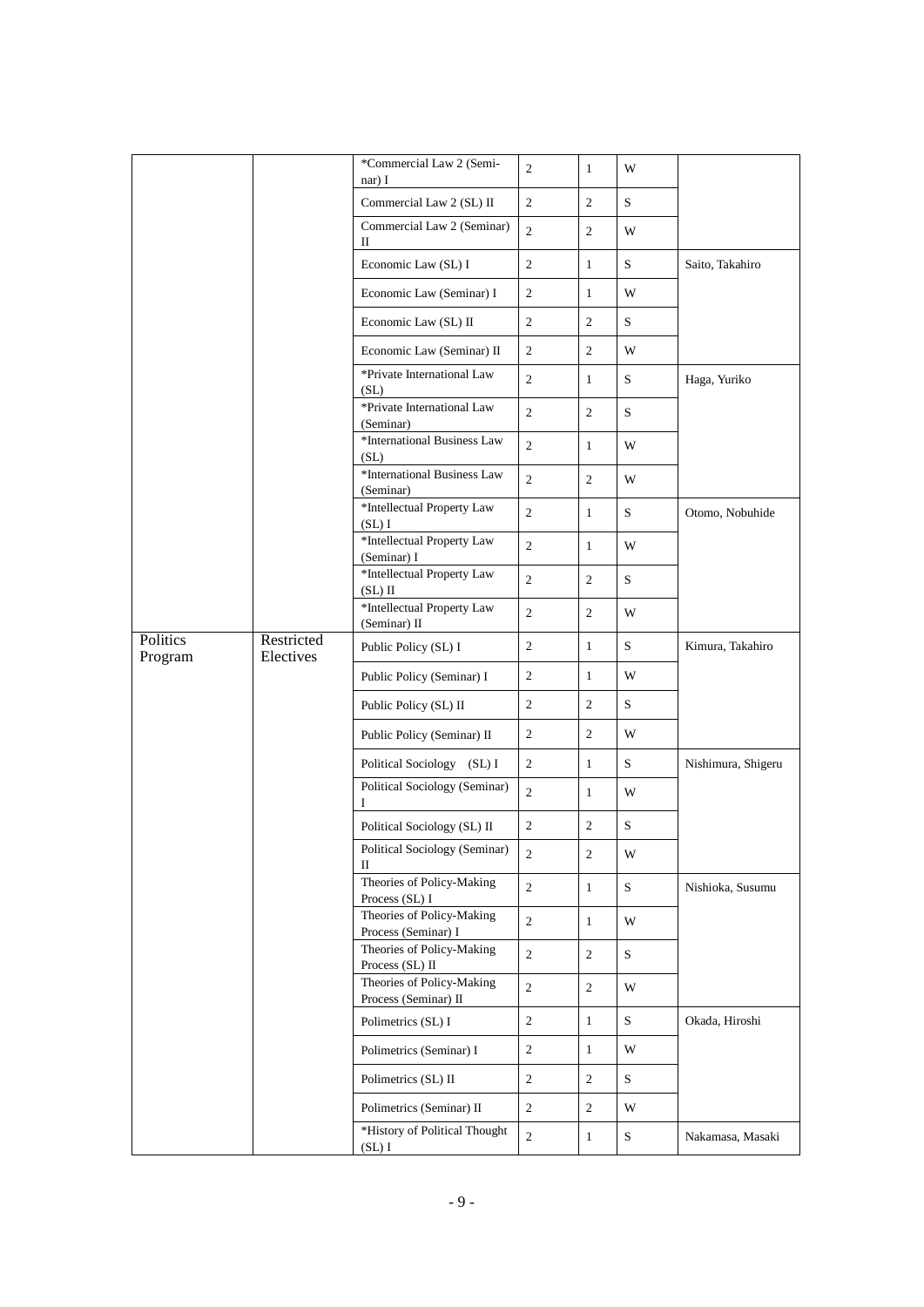|                     |                                            | *Commercial Law 2 (Semi-<br>nar) I                | 2              | $\mathbf{1}$     | W                 |                    |
|---------------------|--------------------------------------------|---------------------------------------------------|----------------|------------------|-------------------|--------------------|
|                     |                                            | Commercial Law 2 (SL) II                          | $\mathbf{2}$   | $\overline{2}$   | S                 |                    |
|                     |                                            | Commercial Law 2 (Seminar)<br>П                   | $\overline{2}$ | $\overline{2}$   | W                 |                    |
|                     |                                            | Economic Law (SL) I                               | 2              | $\mathbf{1}$     | S                 | Saito, Takahiro    |
|                     |                                            | Economic Law (Seminar) I                          | $\mathfrak{2}$ | $\mathbf{1}$     | W                 |                    |
|                     |                                            | Economic Law (SL) II                              | $\mathbf{2}$   | 2                | S                 |                    |
|                     |                                            | Economic Law (Seminar) II                         | 2              | 2                | W                 |                    |
|                     |                                            | *Private International Law<br>(SL)                | $\overline{2}$ | $\mathbf{1}$     | S                 | Haga, Yuriko       |
|                     |                                            | *Private International Law<br>(Seminar)           | $\overline{c}$ | $\overline{2}$   | S                 |                    |
|                     |                                            | *International Business Law<br>(SL)               | $\overline{2}$ | $\mathbf{1}$     | W                 |                    |
|                     |                                            | *International Business Law<br>(Seminar)          | $\overline{2}$ | $\overline{2}$   | W                 |                    |
|                     |                                            | $^{\ast}$ Intellectual Property Law<br>(SL)I      | $\mathbf{2}$   | $\mathbf{1}$     | S                 | Otomo, Nobuhide    |
|                     |                                            | *Intellectual Property Law<br>(Seminar) I         | $\mathbf{2}$   | $\mathbf{1}$     | W                 |                    |
|                     |                                            | *Intellectual Property Law<br>$(SL)$ II           | $\overline{c}$ | $\overline{2}$   | S                 |                    |
|                     | *Intellectual Property Law<br>(Seminar) II | $\overline{c}$                                    | $\overline{2}$ | W                |                   |                    |
| Politics<br>Program | Restricted<br>Electives                    | Public Policy (SL) I                              | $\sqrt{2}$     | $\mathbf{1}$     | S                 | Kimura, Takahiro   |
|                     |                                            | Public Policy (Seminar) I                         | $\mathbf{2}$   | $\mathbf{1}$     | W                 |                    |
|                     |                                            | Public Policy (SL) II                             | 2              | 2                | S                 |                    |
|                     |                                            | Public Policy (Seminar) II                        | $\sqrt{2}$     | $\overline{2}$   | W                 |                    |
|                     |                                            | Political Sociology (SL) I                        | $\overline{c}$ | $\mathbf{1}$     | $S_{\mathcal{L}}$ | Nishimura, Shigeru |
|                     |                                            | Political Sociology (Seminar)<br>L                | $\overline{c}$ | $\mathbf{1}$     | W                 |                    |
|                     |                                            | Political Sociology (SL) II                       | 2              | 2                | S                 |                    |
|                     |                                            | Political Sociology (Seminar)<br>П                | $\mathfrak{2}$ | $\boldsymbol{2}$ | W                 |                    |
|                     |                                            | Theories of Policy-Making<br>Process (SL) I       | $\sqrt{2}$     | $\mathbf{1}$     | S                 | Nishioka, Susumu   |
|                     |                                            | Theories of Policy-Making<br>Process (Seminar) I  | $\sqrt{2}$     | $\mathbf{1}$     | W                 |                    |
|                     |                                            | Theories of Policy-Making<br>Process (SL) II      | $\overline{c}$ | $\overline{c}$   | S                 |                    |
|                     |                                            | Theories of Policy-Making<br>Process (Seminar) II | $\overline{2}$ | $\overline{2}$   | W                 |                    |
|                     |                                            | Polimetrics (SL) I                                | $\sqrt{2}$     | $\mathbf{1}$     | S                 | Okada, Hiroshi     |
|                     |                                            | Polimetrics (Seminar) I                           | $\sqrt{2}$     | $\mathbf{1}$     | W                 |                    |
|                     |                                            | Polimetrics (SL) II                               | $\overline{2}$ | $\overline{c}$   | $S_{\mathcal{L}}$ |                    |
|                     |                                            | Polimetrics (Seminar) II                          | $\overline{2}$ | 2                | W                 |                    |
|                     |                                            | *History of Political Thought<br>(SL)I            | $\overline{2}$ | $\mathbf{1}$     | S                 | Nakamasa, Masaki   |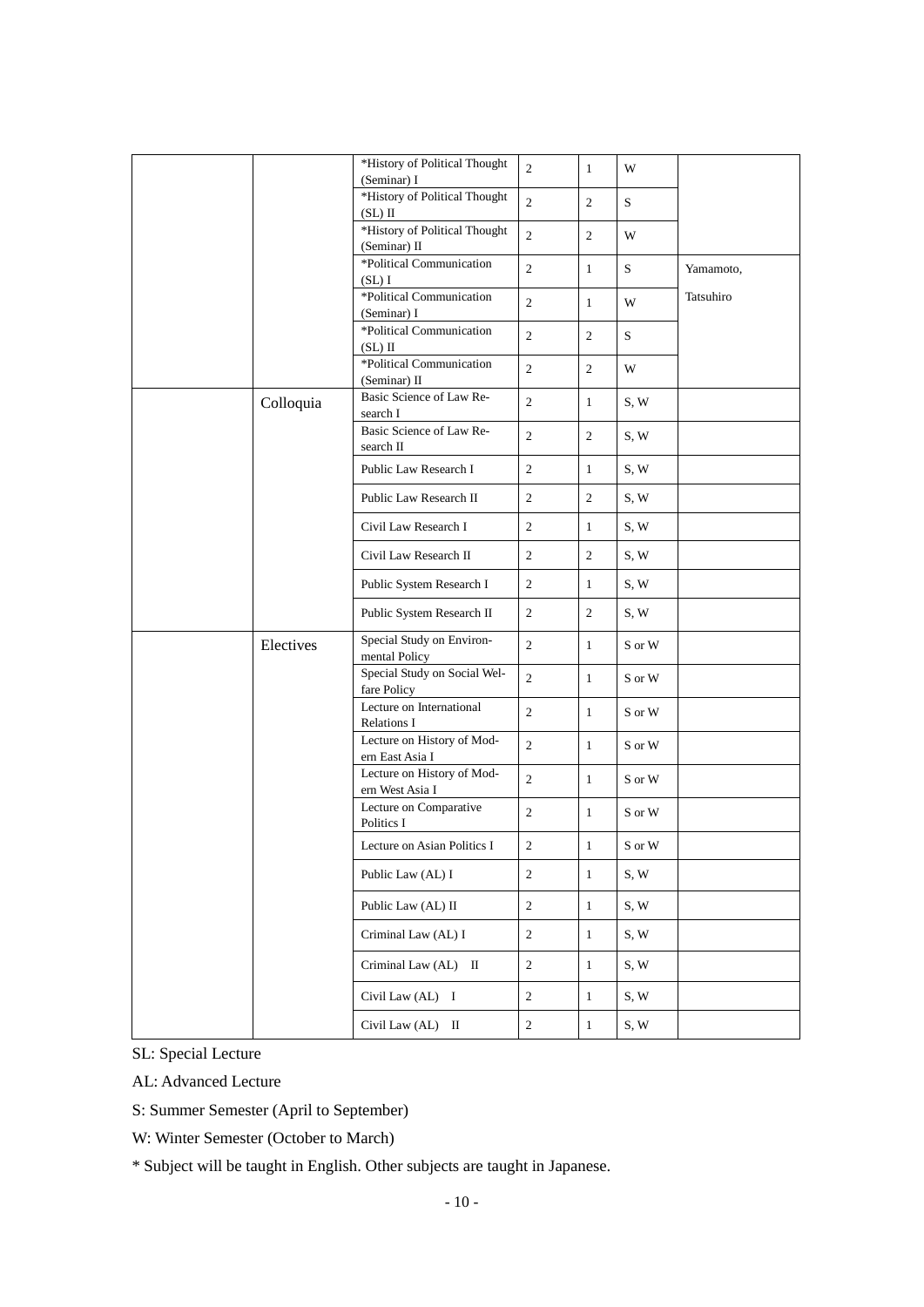|  |           | *History of Political Thought<br>(Seminar) I  | $\overline{c}$ | $\mathbf{1}$   | W                          |           |
|--|-----------|-----------------------------------------------|----------------|----------------|----------------------------|-----------|
|  |           | *History of Political Thought<br>$(SL)$ II    | $\overline{2}$ | $\overline{2}$ | S                          |           |
|  |           | *History of Political Thought                 | $\overline{2}$ | $\overline{2}$ | W                          |           |
|  |           | (Seminar) II<br>*Political Communication      |                |                |                            |           |
|  |           | (SL)I                                         | $\overline{c}$ | $\mathbf{1}$   | S                          | Yamamoto, |
|  |           | *Political Communication<br>(Seminar) I       | $\mathfrak{2}$ | $\mathbf{1}$   | W                          | Tatsuhiro |
|  |           | *Political Communication<br>$(SL)$ II         | $\overline{c}$ | $\overline{2}$ | S                          |           |
|  |           | *Political Communication<br>(Seminar) II      | $\overline{c}$ | $\overline{2}$ | W                          |           |
|  | Colloquia | Basic Science of Law Re-<br>search I          | $\overline{c}$ | $\mathbf{1}$   | S, W                       |           |
|  |           | Basic Science of Law Re-<br>search II         | $\overline{c}$ | $\overline{2}$ | S, W                       |           |
|  |           | Public Law Research I                         | $\overline{c}$ | $\mathbf{1}$   | S, W                       |           |
|  |           | Public Law Research II                        | $\overline{c}$ | 2              | S, W                       |           |
|  |           | Civil Law Research I                          | $\overline{c}$ | $\mathbf{1}$   | S, W                       |           |
|  |           | Civil Law Research II                         | $\overline{c}$ | $\overline{2}$ | S, W                       |           |
|  |           | Public System Research I                      | $\overline{2}$ | $\mathbf{1}$   | S, W                       |           |
|  |           | Public System Research II                     | $\overline{c}$ | $\overline{2}$ | S, W                       |           |
|  | Electives | Special Study on Environ-<br>mental Policy    | $\overline{c}$ | $\mathbf{1}$   | S or W                     |           |
|  |           | Special Study on Social Wel-<br>fare Policy   | $\overline{2}$ | $\mathbf{1}$   | S or W                     |           |
|  |           | Lecture on International<br>Relations I       | 2              | $\mathbf{1}$   | S or W                     |           |
|  |           | Lecture on History of Mod-<br>ern East Asia I | $\overline{c}$ | $\mathbf{1}$   | S or W                     |           |
|  |           | Lecture on History of Mod-<br>ern West Asia I | $\overline{c}$ | $\mathbf{1}$   | S or W                     |           |
|  |           | Lecture on Comparative<br>Politics I          | $\overline{2}$ | $\mathbf{1}$   | S or W                     |           |
|  |           | Lecture on Asian Politics I                   | $\sqrt{2}$     | $\mathbf{1}$   | $\mathbf S$ or $\mathbf W$ |           |
|  |           | Public Law (AL) I                             | $\overline{2}$ | $\mathbf{1}$   | S, W                       |           |
|  |           | Public Law (AL) II                            | $\overline{2}$ | $\mathbf{1}$   | S, W                       |           |
|  |           | Criminal Law (AL) I                           | $\sqrt{2}$     | $\mathbf{1}$   | S, W                       |           |
|  |           | Criminal Law (AL) II                          | 2              | $\mathbf{1}$   | S, W                       |           |
|  |           | Civil Law (AL) I                              | $\overline{c}$ | $\mathbf{1}$   | S, W                       |           |
|  |           | Civil Law (AL) II                             | $\overline{c}$ | $\mathbf{1}$   | S, W                       |           |

SL: Special Lecture

AL: Advanced Lecture

S: Summer Semester (April to September)

W: Winter Semester (October to March)

\* Subject will be taught in English. Other subjects are taught in Japanese.